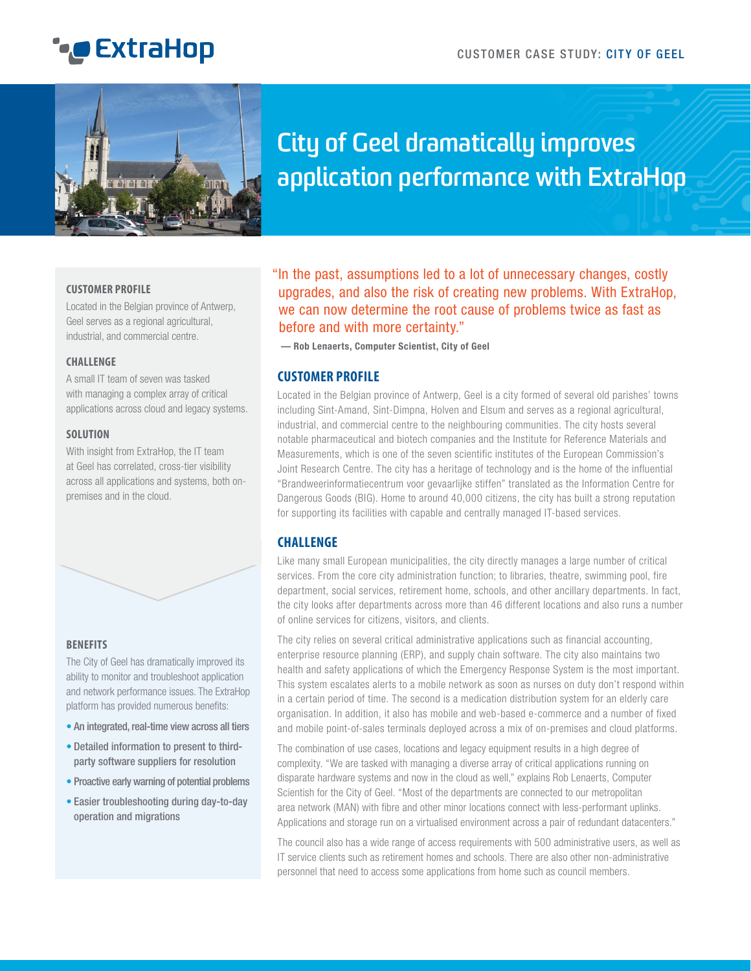# **C** ExtraHop



## **City of Geel dramatically improves application performance with ExtraHop**

#### **CUSTOMER PROFILE**

Located in the Belgian province of Antwerp, Geel serves as a regional agricultural, industrial, and commercial centre.

#### **CHALLENGE**

A small IT team of seven was tasked with managing a complex array of critical applications across cloud and legacy systems.

#### **SOLUTION**

With insight from ExtraHop, the IT team at Geel has correlated, cross-tier visibility across all applications and systems, both onpremises and in the cloud.



#### **BENEFITS**

The City of Geel has dramatically improved its ability to monitor and troubleshoot application and network performance issues. The ExtraHop platform has provided numerous benefits:

- An integrated, real-time view across all tiers
- Detailed information to present to thirdparty software suppliers for resolution
- Proactive early warning of potential problems
- Easier troubleshooting during day-to-day operation and migrations

"In the past, assumptions led to a lot of unnecessary changes, costly upgrades, and also the risk of creating new problems. With ExtraHop, we can now determine the root cause of problems twice as fast as before and with more certainty."

**— Rob Lenaerts, Computer Scientist, City of Geel**

### **CUSTOMER PROFILE**

Located in the Belgian province of Antwerp, Geel is a city formed of several old parishes' towns including Sint-Amand, Sint-Dimpna, Holven and Elsum and serves as a regional agricultural, industrial, and commercial centre to the neighbouring communities. The city hosts several notable pharmaceutical and biotech companies and the Institute for Reference Materials and Measurements, which is one of the seven scientific institutes of the European Commission's Joint Research Centre. The city has a heritage of technology and is the home of the influential "Brandweerinformatiecentrum voor gevaarlijke stiffen" translated as the Information Centre for Dangerous Goods (BIG). Home to around 40,000 citizens, the city has built a strong reputation for supporting its facilities with capable and centrally managed IT-based services.

## **CHALLENGE**

Like many small European municipalities, the city directly manages a large number of critical services. From the core city administration function; to libraries, theatre, swimming pool, fire department, social services, retirement home, schools, and other ancillary departments. In fact, the city looks after departments across more than 46 different locations and also runs a number of online services for citizens, visitors, and clients.

The city relies on several critical administrative applications such as financial accounting, enterprise resource planning (ERP), and supply chain software. The city also maintains two health and safety applications of which the Emergency Response System is the most important. This system escalates alerts to a mobile network as soon as nurses on duty don't respond within in a certain period of time. The second is a medication distribution system for an elderly care organisation. In addition, it also has mobile and web-based e-commerce and a number of fixed and mobile point-of-sales terminals deployed across a mix of on-premises and cloud platforms.

The combination of use cases, locations and legacy equipment results in a high degree of complexity. "We are tasked with managing a diverse array of critical applications running on disparate hardware systems and now in the cloud as well," explains Rob Lenaerts, Computer Scientish for the City of Geel. "Most of the departments are connected to our metropolitan area network (MAN) with fibre and other minor locations connect with less-performant uplinks. Applications and storage run on a virtualised environment across a pair of redundant datacenters."

The council also has a wide range of access requirements with 500 administrative users, as well as IT service clients such as retirement homes and schools. There are also other non-administrative personnel that need to access some applications from home such as council members.